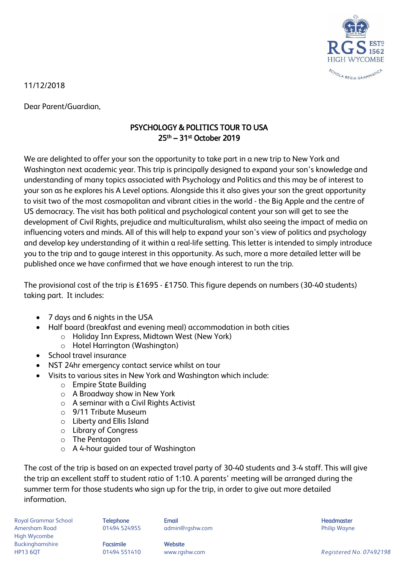

11/12/2018

Dear Parent/Guardian,

## PSYCHOLOGY & POLITICS TOUR TO USA 25th – 31st October 2019

We are delighted to offer your son the opportunity to take part in a new trip to New York and Washington next academic year. This trip is principally designed to expand your son's knowledge and understanding of many topics associated with Psychology and Politics and this may be of interest to your son as he explores his A Level options. Alongside this it also gives your son the great opportunity to visit two of the most cosmopolitan and vibrant cities in the world - the Big Apple and the centre of US democracy. The visit has both political and psychological content your son will get to see the development of Civil Rights, prejudice and multiculturalism, whilst also seeing the impact of media on influencing voters and minds. All of this will help to expand your son's view of politics and psychology and develop key understanding of it within a real-life setting. This letter is intended to simply introduce you to the trip and to gauge interest in this opportunity. As such, more a more detailed letter will be published once we have confirmed that we have enough interest to run the trip.

The provisional cost of the trip is £1695 - £1750. This figure depends on numbers (30-40 students) taking part. It includes:

- 7 days and 6 nights in the USA
- Half board (breakfast and evening meal) accommodation in both cities
	- o Holiday Inn Express, Midtown West (New York)
	- o Hotel Harrington (Washington)
- School travel insurance
- NST 24hr emergency contact service whilst on tour
- Visits to various sites in New York and Washington which include:
	- o Empire State Building
	- o A Broadway show in New York
	- o A seminar with a Civil Rights Activist
	- o 9/11 Tribute Museum
	- o Liberty and Ellis Island
	- o Library of Congress
	- o The Pentagon
	- o A 4-hour guided tour of Washington

The cost of the trip is based on an expected travel party of 30-40 students and 3-4 staff. This will give the trip an excellent staff to student ratio of 1:10. A parents' meeting will be arranged during the summer term for those students who sign up for the trip, in order to give out more detailed information.

Royal Grammar School **Telephone Email Headmaster Email Headmaster Headmaster Headmaster** Amersham Road **8. Community 1948 124955** admin@rgshw.com **Community Community Philip Wayne** High Wycombe Buckinghamshire **Facsimile Facsimile** Website